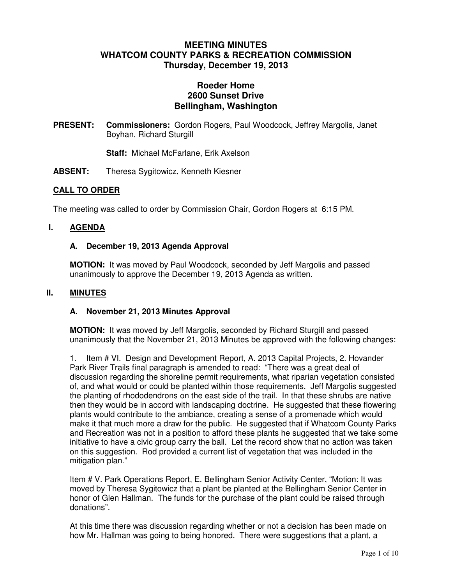# **MEETING MINUTES WHATCOM COUNTY PARKS & RECREATION COMMISSION Thursday, December 19, 2013**

# **Roeder Home 2600 Sunset Drive Bellingham, Washington**

**PRESENT: Commissioners:** Gordon Rogers, Paul Woodcock, Jeffrey Margolis, Janet Boyhan, Richard Sturgill

**Staff:** Michael McFarlane, Erik Axelson

**ABSENT:** Theresa Sygitowicz, Kenneth Kiesner

### **CALL TO ORDER**

The meeting was called to order by Commission Chair, Gordon Rogers at 6:15 PM.

### **I. AGENDA**

### **A. December 19, 2013 Agenda Approval**

**MOTION:** It was moved by Paul Woodcock, seconded by Jeff Margolis and passed unanimously to approve the December 19, 2013 Agenda as written.

#### **II. MINUTES**

#### **A. November 21, 2013 Minutes Approval**

**MOTION:** It was moved by Jeff Margolis, seconded by Richard Sturgill and passed unanimously that the November 21, 2013 Minutes be approved with the following changes:

1. Item # VI. Design and Development Report, A. 2013 Capital Projects, 2. Hovander Park River Trails final paragraph is amended to read: "There was a great deal of discussion regarding the shoreline permit requirements, what riparian vegetation consisted of, and what would or could be planted within those requirements. Jeff Margolis suggested the planting of rhododendrons on the east side of the trail. In that these shrubs are native then they would be in accord with landscaping doctrine. He suggested that these flowering plants would contribute to the ambiance, creating a sense of a promenade which would make it that much more a draw for the public. He suggested that if Whatcom County Parks and Recreation was not in a position to afford these plants he suggested that we take some initiative to have a civic group carry the ball. Let the record show that no action was taken on this suggestion. Rod provided a current list of vegetation that was included in the mitigation plan."

Item # V. Park Operations Report, E. Bellingham Senior Activity Center, "Motion: It was moved by Theresa Sygitowicz that a plant be planted at the Bellingham Senior Center in honor of Glen Hallman. The funds for the purchase of the plant could be raised through donations".

At this time there was discussion regarding whether or not a decision has been made on how Mr. Hallman was going to being honored. There were suggestions that a plant, a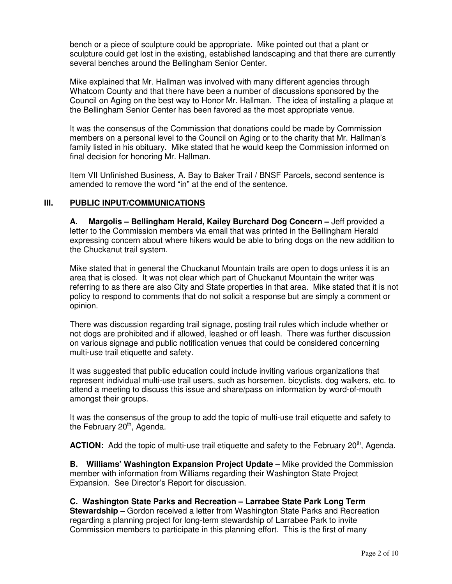bench or a piece of sculpture could be appropriate. Mike pointed out that a plant or sculpture could get lost in the existing, established landscaping and that there are currently several benches around the Bellingham Senior Center.

Mike explained that Mr. Hallman was involved with many different agencies through Whatcom County and that there have been a number of discussions sponsored by the Council on Aging on the best way to Honor Mr. Hallman. The idea of installing a plaque at the Bellingham Senior Center has been favored as the most appropriate venue.

It was the consensus of the Commission that donations could be made by Commission members on a personal level to the Council on Aging or to the charity that Mr. Hallman's family listed in his obituary. Mike stated that he would keep the Commission informed on final decision for honoring Mr. Hallman.

Item VII Unfinished Business, A. Bay to Baker Trail / BNSF Parcels, second sentence is amended to remove the word "in" at the end of the sentence.

### **III. PUBLIC INPUT/COMMUNICATIONS**

**A. Margolis – Bellingham Herald, Kailey Burchard Dog Concern –** Jeff provided a letter to the Commission members via email that was printed in the Bellingham Herald expressing concern about where hikers would be able to bring dogs on the new addition to the Chuckanut trail system.

Mike stated that in general the Chuckanut Mountain trails are open to dogs unless it is an area that is closed. It was not clear which part of Chuckanut Mountain the writer was referring to as there are also City and State properties in that area. Mike stated that it is not policy to respond to comments that do not solicit a response but are simply a comment or opinion.

There was discussion regarding trail signage, posting trail rules which include whether or not dogs are prohibited and if allowed, leashed or off leash. There was further discussion on various signage and public notification venues that could be considered concerning multi-use trail etiquette and safety.

It was suggested that public education could include inviting various organizations that represent individual multi-use trail users, such as horsemen, bicyclists, dog walkers, etc. to attend a meeting to discuss this issue and share/pass on information by word-of-mouth amongst their groups.

It was the consensus of the group to add the topic of multi-use trail etiquette and safety to the February  $20<sup>th</sup>$ , Agenda.

**ACTION:** Add the topic of multi-use trail etiquette and safety to the February 20<sup>th</sup>, Agenda.

**B. Williams' Washington Expansion Project Update –** Mike provided the Commission member with information from Williams regarding their Washington State Project Expansion. See Director's Report for discussion.

**C. Washington State Parks and Recreation – Larrabee State Park Long Term Stewardship –** Gordon received a letter from Washington State Parks and Recreation regarding a planning project for long-term stewardship of Larrabee Park to invite Commission members to participate in this planning effort. This is the first of many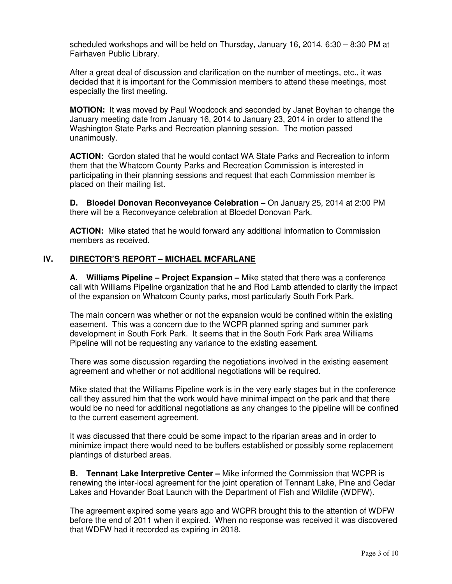scheduled workshops and will be held on Thursday, January 16, 2014, 6:30 – 8:30 PM at Fairhaven Public Library.

After a great deal of discussion and clarification on the number of meetings, etc., it was decided that it is important for the Commission members to attend these meetings, most especially the first meeting.

**MOTION:** It was moved by Paul Woodcock and seconded by Janet Boyhan to change the January meeting date from January 16, 2014 to January 23, 2014 in order to attend the Washington State Parks and Recreation planning session. The motion passed unanimously.

**ACTION:** Gordon stated that he would contact WA State Parks and Recreation to inform them that the Whatcom County Parks and Recreation Commission is interested in participating in their planning sessions and request that each Commission member is placed on their mailing list.

**D. Bloedel Donovan Reconveyance Celebration –** On January 25, 2014 at 2:00 PM there will be a Reconveyance celebration at Bloedel Donovan Park.

**ACTION:** Mike stated that he would forward any additional information to Commission members as received.

### **IV. DIRECTOR'S REPORT – MICHAEL MCFARLANE**

**A. Williams Pipeline – Project Expansion –** Mike stated that there was a conference call with Williams Pipeline organization that he and Rod Lamb attended to clarify the impact of the expansion on Whatcom County parks, most particularly South Fork Park.

The main concern was whether or not the expansion would be confined within the existing easement. This was a concern due to the WCPR planned spring and summer park development in South Fork Park. It seems that in the South Fork Park area Williams Pipeline will not be requesting any variance to the existing easement.

There was some discussion regarding the negotiations involved in the existing easement agreement and whether or not additional negotiations will be required.

Mike stated that the Williams Pipeline work is in the very early stages but in the conference call they assured him that the work would have minimal impact on the park and that there would be no need for additional negotiations as any changes to the pipeline will be confined to the current easement agreement.

It was discussed that there could be some impact to the riparian areas and in order to minimize impact there would need to be buffers established or possibly some replacement plantings of disturbed areas.

**B. Tennant Lake Interpretive Center –** Mike informed the Commission that WCPR is renewing the inter-local agreement for the joint operation of Tennant Lake, Pine and Cedar Lakes and Hovander Boat Launch with the Department of Fish and Wildlife (WDFW).

The agreement expired some years ago and WCPR brought this to the attention of WDFW before the end of 2011 when it expired. When no response was received it was discovered that WDFW had it recorded as expiring in 2018.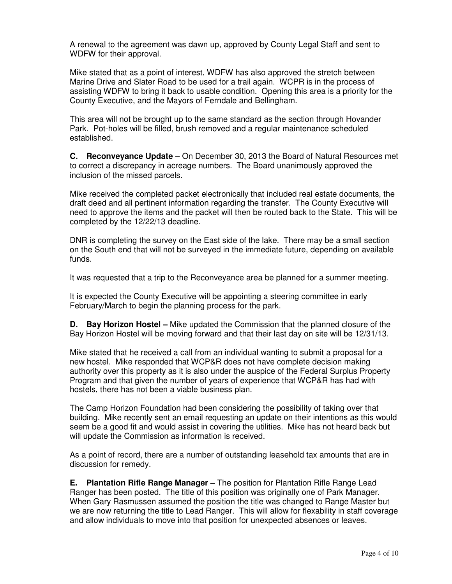A renewal to the agreement was dawn up, approved by County Legal Staff and sent to WDFW for their approval.

Mike stated that as a point of interest, WDFW has also approved the stretch between Marine Drive and Slater Road to be used for a trail again. WCPR is in the process of assisting WDFW to bring it back to usable condition. Opening this area is a priority for the County Executive, and the Mayors of Ferndale and Bellingham.

This area will not be brought up to the same standard as the section through Hovander Park. Pot-holes will be filled, brush removed and a regular maintenance scheduled established.

**C. Reconveyance Update –** On December 30, 2013 the Board of Natural Resources met to correct a discrepancy in acreage numbers. The Board unanimously approved the inclusion of the missed parcels.

Mike received the completed packet electronically that included real estate documents, the draft deed and all pertinent information regarding the transfer. The County Executive will need to approve the items and the packet will then be routed back to the State. This will be completed by the 12/22/13 deadline.

DNR is completing the survey on the East side of the lake. There may be a small section on the South end that will not be surveyed in the immediate future, depending on available funds.

It was requested that a trip to the Reconveyance area be planned for a summer meeting.

It is expected the County Executive will be appointing a steering committee in early February/March to begin the planning process for the park.

**D. Bay Horizon Hostel –** Mike updated the Commission that the planned closure of the Bay Horizon Hostel will be moving forward and that their last day on site will be 12/31/13.

Mike stated that he received a call from an individual wanting to submit a proposal for a new hostel. Mike responded that WCP&R does not have complete decision making authority over this property as it is also under the auspice of the Federal Surplus Property Program and that given the number of years of experience that WCP&R has had with hostels, there has not been a viable business plan.

The Camp Horizon Foundation had been considering the possibility of taking over that building. Mike recently sent an email requesting an update on their intentions as this would seem be a good fit and would assist in covering the utilities. Mike has not heard back but will update the Commission as information is received.

As a point of record, there are a number of outstanding leasehold tax amounts that are in discussion for remedy.

**E. Plantation Rifle Range Manager –** The position for Plantation Rifle Range Lead Ranger has been posted. The title of this position was originally one of Park Manager. When Gary Rasmussen assumed the position the title was changed to Range Master but we are now returning the title to Lead Ranger. This will allow for flexability in staff coverage and allow individuals to move into that position for unexpected absences or leaves.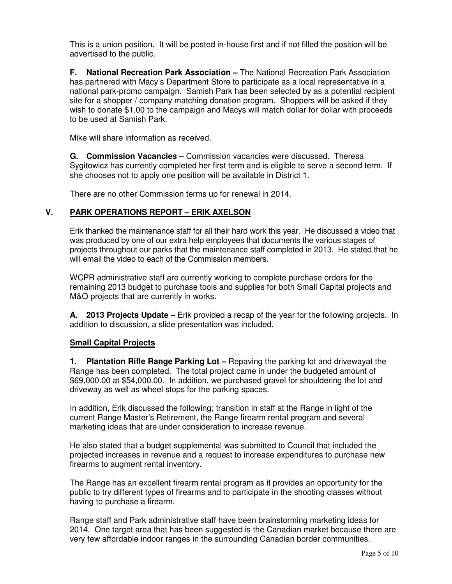This is a union position. It will be posted in-house first and if not filled the position will be advertised to the public.

**F. National Recreation Park Association –** The National Recreation Park Association has partnered with Macy's Department Store to participate as a local representative in a national park-promo campaign. Samish Park has been selected by as a potential recipient site for a shopper / company matching donation program. Shoppers will be asked if they wish to donate \$1.00 to the campaign and Macys will match dollar for dollar with proceeds to be used at Samish Park.

Mike will share information as received.

**G. Commission Vacancies –** Commission vacancies were discussed. Theresa Sygitowicz has currently completed her first term and is eligible to serve a second term. If she chooses not to apply one position will be available in District 1.

There are no other Commission terms up for renewal in 2014.

### **V. PARK OPERATIONS REPORT – ERIK AXELSON**

Erik thanked the maintenance staff for all their hard work this year. He discussed a video that was produced by one of our extra help employees that documents the various stages of projects throughout our parks that the maintenance staff completed in 2013. He stated that he will email the video to each of the Commission members.

WCPR administrative staff are currently working to complete purchase orders for the remaining 2013 budget to purchase tools and supplies for both Small Capital projects and M&O projects that are currently in works.

**A. 2013 Projects Update –** Erik provided a recap of the year for the following projects. In addition to discussion, a slide presentation was included.

### **Small Capital Projects**

**1. Plantation Rifle Range Parking Lot –** Repaving the parking lot and drivewayat the Range has been completed. The total project came in under the budgeted amount of \$69,000.00 at \$54,000.00. In addition, we purchased gravel for shouldering the lot and driveway as well as wheel stops for the parking spaces.

In addition, Erik discussed the following; transition in staff at the Range in light of the current Range Master's Retirement, the Range firearm rental program and several marketing ideas that are under consideration to increase revenue.

He also stated that a budget supplemental was submitted to Council that included the projected increases in revenue and a request to increase expenditures to purchase new firearms to augment rental inventory.

The Range has an excellent firearm rental program as it provides an opportunity for the public to try different types of firearms and to participate in the shooting classes without having to purchase a firearm.

Range staff and Park administrative staff have been brainstorming marketing ideas for 2014. One target area that has been suggested is the Canadian market because there are very few affordable indoor ranges in the surrounding Canadian border communities.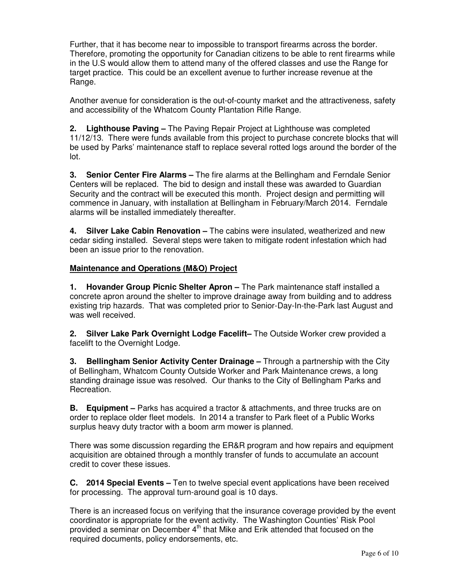Further, that it has become near to impossible to transport firearms across the border. Therefore, promoting the opportunity for Canadian citizens to be able to rent firearms while in the U.S would allow them to attend many of the offered classes and use the Range for target practice. This could be an excellent avenue to further increase revenue at the Range.

Another avenue for consideration is the out-of-county market and the attractiveness, safety and accessibility of the Whatcom County Plantation Rifle Range.

**2. Lighthouse Paving –** The Paving Repair Project at Lighthouse was completed 11/12/13. There were funds available from this project to purchase concrete blocks that will be used by Parks' maintenance staff to replace several rotted logs around the border of the lot.

**3. Senior Center Fire Alarms –** The fire alarms at the Bellingham and Ferndale Senior Centers will be replaced. The bid to design and install these was awarded to Guardian Security and the contract will be executed this month. Project design and permitting will commence in January, with installation at Bellingham in February/March 2014. Ferndale alarms will be installed immediately thereafter.

**4. Silver Lake Cabin Renovation –** The cabins were insulated, weatherized and new cedar siding installed. Several steps were taken to mitigate rodent infestation which had been an issue prior to the renovation.

### **Maintenance and Operations (M&O) Project**

**1. Hovander Group Picnic Shelter Apron –** The Park maintenance staff installed a concrete apron around the shelter to improve drainage away from building and to address existing trip hazards. That was completed prior to Senior-Day-In-the-Park last August and was well received.

**2. Silver Lake Park Overnight Lodge Facelift–** The Outside Worker crew provided a facelift to the Overnight Lodge.

**3. Bellingham Senior Activity Center Drainage –** Through a partnership with the City of Bellingham, Whatcom County Outside Worker and Park Maintenance crews, a long standing drainage issue was resolved. Our thanks to the City of Bellingham Parks and Recreation.

**B. Equipment –** Parks has acquired a tractor & attachments, and three trucks are on order to replace older fleet models. In 2014 a transfer to Park fleet of a Public Works surplus heavy duty tractor with a boom arm mower is planned.

There was some discussion regarding the ER&R program and how repairs and equipment acquisition are obtained through a monthly transfer of funds to accumulate an account credit to cover these issues.

**C. 2014 Special Events –** Ten to twelve special event applications have been received for processing. The approval turn-around goal is 10 days.

There is an increased focus on verifying that the insurance coverage provided by the event coordinator is appropriate for the event activity. The Washington Counties' Risk Pool provided a seminar on December  $4<sup>th</sup>$  that Mike and Erik attended that focused on the required documents, policy endorsements, etc.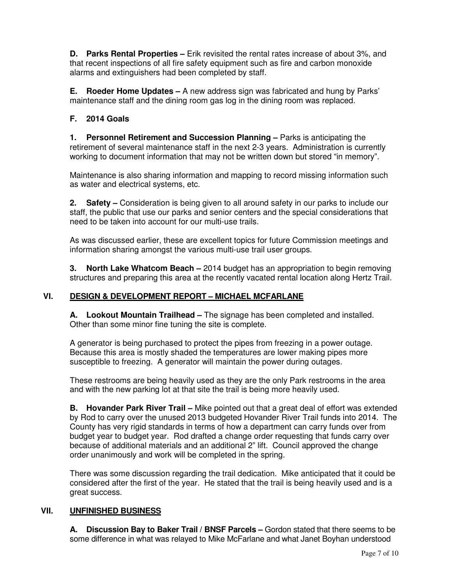**D. Parks Rental Properties –** Erik revisited the rental rates increase of about 3%, and that recent inspections of all fire safety equipment such as fire and carbon monoxide alarms and extinguishers had been completed by staff.

**E. Roeder Home Updates –** A new address sign was fabricated and hung by Parks' maintenance staff and the dining room gas log in the dining room was replaced.

## **F. 2014 Goals**

**1. Personnel Retirement and Succession Planning – Parks is anticipating the** retirement of several maintenance staff in the next 2-3 years. Administration is currently working to document information that may not be written down but stored "in memory".

Maintenance is also sharing information and mapping to record missing information such as water and electrical systems, etc.

**2. Safety –** Consideration is being given to all around safety in our parks to include our staff, the public that use our parks and senior centers and the special considerations that need to be taken into account for our multi-use trails.

As was discussed earlier, these are excellent topics for future Commission meetings and information sharing amongst the various multi-use trail user groups.

**3. North Lake Whatcom Beach –** 2014 budget has an appropriation to begin removing structures and preparing this area at the recently vacated rental location along Hertz Trail.

## **VI. DESIGN & DEVELOPMENT REPORT – MICHAEL MCFARLANE**

**A. Lookout Mountain Trailhead –** The signage has been completed and installed. Other than some minor fine tuning the site is complete.

A generator is being purchased to protect the pipes from freezing in a power outage. Because this area is mostly shaded the temperatures are lower making pipes more susceptible to freezing. A generator will maintain the power during outages.

These restrooms are being heavily used as they are the only Park restrooms in the area and with the new parking lot at that site the trail is being more heavily used.

**B. Hovander Park River Trail –** Mike pointed out that a great deal of effort was extended by Rod to carry over the unused 2013 budgeted Hovander River Trail funds into 2014.The County has very rigid standards in terms of how a department can carry funds over from budget year to budget year. Rod drafted a change order requesting that funds carry over because of additional materials and an additional 2" lift. Council approved the change order unanimously and work will be completed in the spring.

There was some discussion regarding the trail dedication. Mike anticipated that it could be considered after the first of the year. He stated that the trail is being heavily used and is a great success.

### **VII. UNFINISHED BUSINESS**

**A. Discussion Bay to Baker Trail / BNSF Parcels –** Gordon stated that there seems to be some difference in what was relayed to Mike McFarlane and what Janet Boyhan understood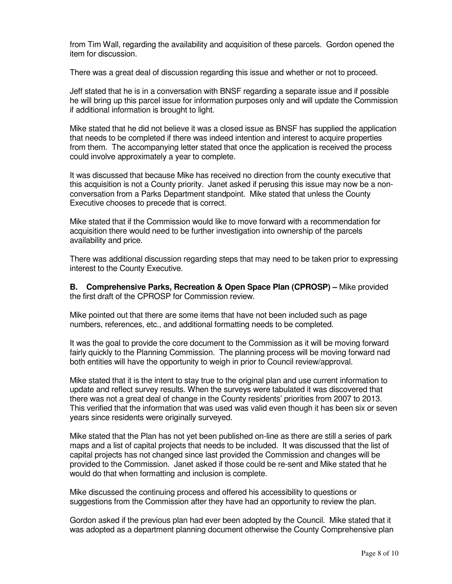from Tim Wall, regarding the availability and acquisition of these parcels. Gordon opened the item for discussion.

There was a great deal of discussion regarding this issue and whether or not to proceed.

Jeff stated that he is in a conversation with BNSF regarding a separate issue and if possible he will bring up this parcel issue for information purposes only and will update the Commission if additional information is brought to light.

Mike stated that he did not believe it was a closed issue as BNSF has supplied the application that needs to be completed if there was indeed intention and interest to acquire properties from them. The accompanying letter stated that once the application is received the process could involve approximately a year to complete.

It was discussed that because Mike has received no direction from the county executive that this acquisition is not a County priority. Janet asked if perusing this issue may now be a nonconversation from a Parks Department standpoint. Mike stated that unless the County Executive chooses to precede that is correct.

Mike stated that if the Commission would like to move forward with a recommendation for acquisition there would need to be further investigation into ownership of the parcels availability and price.

There was additional discussion regarding steps that may need to be taken prior to expressing interest to the County Executive.

**B. Comprehensive Parks, Recreation & Open Space Plan (CPROSP) –** Mike provided the first draft of the CPROSP for Commission review.

Mike pointed out that there are some items that have not been included such as page numbers, references, etc., and additional formatting needs to be completed.

It was the goal to provide the core document to the Commission as it will be moving forward fairly quickly to the Planning Commission. The planning process will be moving forward nad both entities will have the opportunity to weigh in prior to Council review/approval.

Mike stated that it is the intent to stay true to the original plan and use current information to update and reflect survey results. When the surveys were tabulated it was discovered that there was not a great deal of change in the County residents' priorities from 2007 to 2013. This verified that the information that was used was valid even though it has been six or seven years since residents were originally surveyed.

Mike stated that the Plan has not yet been published on-line as there are still a series of park maps and a list of capital projects that needs to be included. It was discussed that the list of capital projects has not changed since last provided the Commission and changes will be provided to the Commission. Janet asked if those could be re-sent and Mike stated that he would do that when formatting and inclusion is complete.

Mike discussed the continuing process and offered his accessibility to questions or suggestions from the Commission after they have had an opportunity to review the plan.

Gordon asked if the previous plan had ever been adopted by the Council. Mike stated that it was adopted as a department planning document otherwise the County Comprehensive plan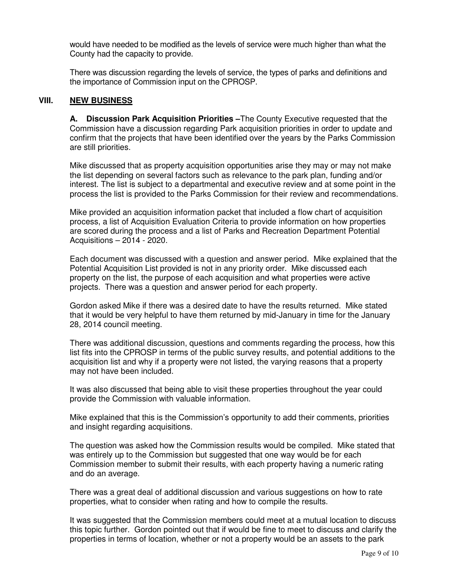would have needed to be modified as the levels of service were much higher than what the County had the capacity to provide.

There was discussion regarding the levels of service, the types of parks and definitions and the importance of Commission input on the CPROSP.

#### **VIII. NEW BUSINESS**

**A. Discussion Park Acquisition Priorities –**The County Executive requested that the Commission have a discussion regarding Park acquisition priorities in order to update and confirm that the projects that have been identified over the years by the Parks Commission are still priorities.

Mike discussed that as property acquisition opportunities arise they may or may not make the list depending on several factors such as relevance to the park plan, funding and/or interest. The list is subject to a departmental and executive review and at some point in the process the list is provided to the Parks Commission for their review and recommendations.

Mike provided an acquisition information packet that included a flow chart of acquisition process, a list of Acquisition Evaluation Criteria to provide information on how properties are scored during the process and a list of Parks and Recreation Department Potential Acquisitions – 2014 - 2020.

Each document was discussed with a question and answer period. Mike explained that the Potential Acquisition List provided is not in any priority order. Mike discussed each property on the list, the purpose of each acquisition and what properties were active projects. There was a question and answer period for each property.

Gordon asked Mike if there was a desired date to have the results returned. Mike stated that it would be very helpful to have them returned by mid-January in time for the January 28, 2014 council meeting.

There was additional discussion, questions and comments regarding the process, how this list fits into the CPROSP in terms of the public survey results, and potential additions to the acquisition list and why if a property were not listed, the varying reasons that a property may not have been included.

It was also discussed that being able to visit these properties throughout the year could provide the Commission with valuable information.

Mike explained that this is the Commission's opportunity to add their comments, priorities and insight regarding acquisitions.

The question was asked how the Commission results would be compiled. Mike stated that was entirely up to the Commission but suggested that one way would be for each Commission member to submit their results, with each property having a numeric rating and do an average.

There was a great deal of additional discussion and various suggestions on how to rate properties, what to consider when rating and how to compile the results.

It was suggested that the Commission members could meet at a mutual location to discuss this topic further. Gordon pointed out that if would be fine to meet to discuss and clarify the properties in terms of location, whether or not a property would be an assets to the park